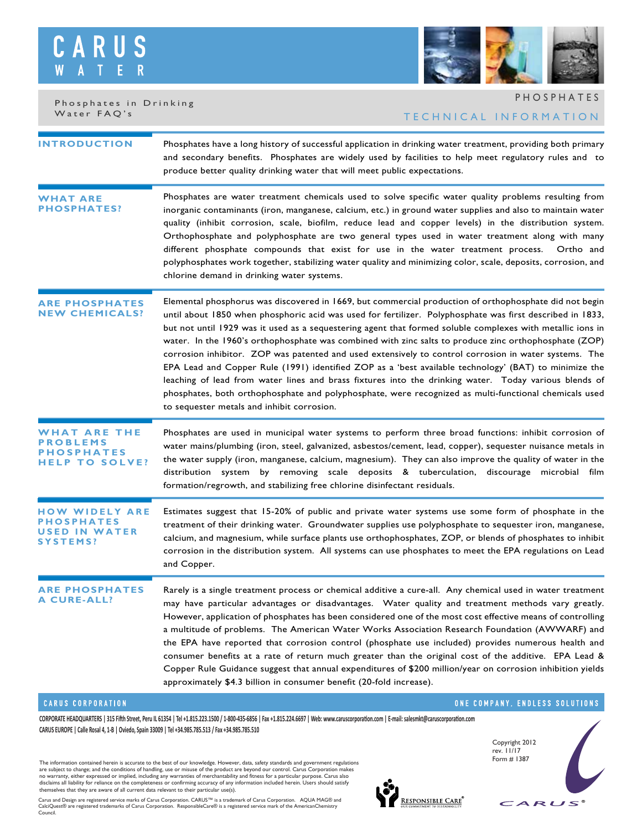## S C R W



Phosphates in Drinking Water FAQ's

# TECHNICAL INFORMATION PHOSPHATES

| <b>INTRODUCTION</b>                          | Phosphates have a long history of successful application in drinking water treatment, providing both primary<br>and secondary benefits. Phosphates are widely used by facilities to help meet regulatory rules and to<br>produce better quality drinking water that will meet public expectations.                                                                                                                                                                                                                                                                                                                                                                                                                                                                                                                                                                                                                           |
|----------------------------------------------|------------------------------------------------------------------------------------------------------------------------------------------------------------------------------------------------------------------------------------------------------------------------------------------------------------------------------------------------------------------------------------------------------------------------------------------------------------------------------------------------------------------------------------------------------------------------------------------------------------------------------------------------------------------------------------------------------------------------------------------------------------------------------------------------------------------------------------------------------------------------------------------------------------------------------|
| <b><i>N</i>HAT ARE</b><br><b>PHOSPHATES?</b> | Phosphates are water treatment chemicals used to solve specific water quality problems resulting from<br>inorganic contaminants (iron, manganese, calcium, etc.) in ground water supplies and also to maintain water<br>quality (inhibit corrosion, scale, biofilm, reduce lead and copper levels) in the distribution system.<br>Orthophosphate and polyphosphate are two general types used in water treatment along with many<br>different phosphate compounds that exist for use in the water treatment process. Ortho and<br>polyphosphates work together, stabilizing water quality and minimizing color, scale, deposits, corrosion, and<br>chlorine demand in drinking water systems.                                                                                                                                                                                                                                |
| <b>RE PHOSPHATES</b><br><b>W CHEMICALS?</b>  | Elemental phosphorus was discovered in 1669, but commercial production of orthophosphate did not begin<br>until about 1850 when phosphoric acid was used for fertilizer. Polyphosphate was first described in 1833,<br>but not until 1929 was it used as a sequestering agent that formed soluble complexes with metallic ions in<br>water. In the 1960's orthophosphate was combined with zinc salts to produce zinc orthophosphate (ZOP)<br>corrosion inhibitor. ZOP was patented and used extensively to control corrosion in water systems. The<br>EPA Lead and Copper Rule (1991) identified ZOP as a 'best available technology' (BAT) to minimize the<br>leaching of lead from water lines and brass fixtures into the drinking water. Today various blends of<br>phosphates, both orthophosphate and polyphosphate, were recognized as multi-functional chemicals used<br>to sequester metals and inhibit corrosion. |
| THE<br>ARE<br>EMS<br>O SOLVE?<br>т           | Phosphates are used in municipal water systems to perform three broad functions: inhibit corrosion of<br>water mains/plumbing (iron, steel, galvanized, asbestos/cement, lead, copper), sequester nuisance metals in<br>the water supply (iron, manganese, calcium, magnesium). They can also improve the quality of water in the<br>distribution system by removing scale deposits & tuberculation, discourage microbial film<br>formation/regrowth, and stabilizing free chlorine disinfectant residuals.                                                                                                                                                                                                                                                                                                                                                                                                                  |
| ARE<br>WIDELY<br>IN WATER<br>SYSTEMS?        | Estimates suggest that 15-20% of public and private water systems use some form of phosphate in the<br>treatment of their drinking water. Groundwater supplies use polyphosphate to sequester iron, manganese,<br>calcium, and magnesium, while surface plants use orthophosphates, ZOP, or blends of phosphates to inhibit<br>corrosion in the distribution system. All systems can use phosphates to meet the EPA regulations on Lead<br>and Copper.                                                                                                                                                                                                                                                                                                                                                                                                                                                                       |
| <b>PHOSPHATES</b><br>A CURE-ALL?             | Rarely is a single treatment process or chemical additive a cure-all. Any chemical used in water treatment<br>may have particular advantages or disadvantages. Water quality and treatment methods vary greatly.<br>However, application of phosphates has been considered one of the most cost effective means of controlling<br>a multitude of problems. The American Water Works Association Research Foundation (AWWARF) and<br>the EPA have reported that corrosion control (phosphate use included) provides numerous health and<br>consumer benefits at a rate of return much greater than the original cost of the additive. EPA Lead &<br>Copper Rule Guidance suggest that annual expenditures of \$200 million/year on corrosion inhibition yields<br>approximately \$4.3 billion in consumer benefit (20-fold increase).                                                                                         |

### **CARUS CORPORATION**

**CORPORATE HEADQUARTERS | 315 Fi�h Street, Peru IL 61354 | Tel +1.815.223.1500 / 1-800-435-6856 | Fax +1.815.224.6697 | Web: www.caruscorpora�on.com | E-mail: salesmkt@caruscorpora�on.com CARUS EUROPE | Calle Rosal 4, 1-B | Oviedo, Spain 33009 | Tel +34.985.785.513 / Fax +34.985.785.510**

The information contained herein is accurate to the best of our knowledge. However, data, safety standards and government regulations<br>are subject to change; and the conditions of handling, use or misuse of the product are

Carus and Design are registered service marks of Carus Corporation. CARUS™ is a trademark of Carus Corporation. AQUA MAG® and<br>CalciQuest® are registered trademarks of Carus Corporation. ResponsibleCare® is a registered Council.



**RESPONSIBLE CARE<sup>®</sup>** 

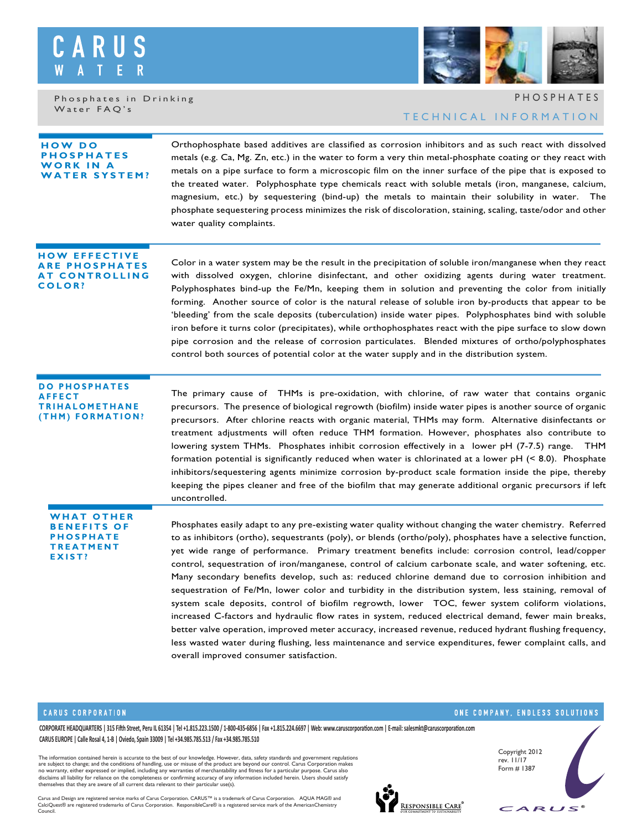

Phosphates in Drinking Water FAQ's



TECHNICAL INFORMATION PHOSPHATES

| <b>HOW DO</b><br>OSPHATES<br>WORK IN A<br><b>WATER SYSTEM?</b>                     | Orthophosphate based additives are classified as corrosion inhibitors and as such react with dissolved<br>metals (e.g. Ca, Mg. Zn, etc.) in the water to form a very thin metal-phosphate coating or they react with<br>metals on a pipe surface to form a microscopic film on the inner surface of the pipe that is exposed to<br>the treated water. Polyphosphate type chemicals react with soluble metals (iron, manganese, calcium,<br>magnesium, etc.) by sequestering (bind-up) the metals to maintain their solubility in water. The<br>phosphate sequestering process minimizes the risk of discoloration, staining, scaling, taste/odor and other<br>water quality complaints.                                                                                                                                                                                                                                                                                                                                                                                                                                                 |
|------------------------------------------------------------------------------------|-----------------------------------------------------------------------------------------------------------------------------------------------------------------------------------------------------------------------------------------------------------------------------------------------------------------------------------------------------------------------------------------------------------------------------------------------------------------------------------------------------------------------------------------------------------------------------------------------------------------------------------------------------------------------------------------------------------------------------------------------------------------------------------------------------------------------------------------------------------------------------------------------------------------------------------------------------------------------------------------------------------------------------------------------------------------------------------------------------------------------------------------|
| <b>HOW EFFECTIVE</b><br>ARE PHOSPHATES<br>AT CONTROLLING<br><b>COLOR?</b>          | Color in a water system may be the result in the precipitation of soluble iron/manganese when they react<br>with dissolved oxygen, chlorine disinfectant, and other oxidizing agents during water treatment.<br>Polyphosphates bind-up the Fe/Mn, keeping them in solution and preventing the color from initially<br>forming. Another source of color is the natural release of soluble iron by-products that appear to be<br>'bleeding' from the scale deposits (tuberculation) inside water pipes. Polyphosphates bind with soluble<br>iron before it turns color (precipitates), while orthophosphates react with the pipe surface to slow down<br>pipe corrosion and the release of corrosion particulates. Blended mixtures of ortho/polyphosphates<br>control both sources of potential color at the water supply and in the distribution system.                                                                                                                                                                                                                                                                                |
| <b>DO PHOSPHATES</b><br><b>AFFECT</b><br><b>TRIHALOMETHANE</b><br>(THM) FORMATION? | The primary cause of THMs is pre-oxidation, with chlorine, of raw water that contains organic<br>precursors. The presence of biological regrowth (biofilm) inside water pipes is another source of organic<br>precursors. After chlorine reacts with organic material, THMs may form. Alternative disinfectants or<br>treatment adjustments will often reduce THM formation. However, phosphates also contribute to<br>lowering system THMs. Phosphates inhibit corrosion effectively in a lower pH (7-7.5) range. THM<br>formation potential is significantly reduced when water is chlorinated at a lower $pH$ (< 8.0). Phosphate<br>inhibitors/sequestering agents minimize corrosion by-product scale formation inside the pipe, thereby<br>keeping the pipes cleaner and free of the biofilm that may generate additional organic precursors if left<br>uncontrolled.                                                                                                                                                                                                                                                              |
| WHAT OTHER<br><b>NEFITS OF</b><br>PHOSPHATE<br><b>TREATMENT</b><br>EXIST?          | Phosphates easily adapt to any pre-existing water quality without changing the water chemistry. Referred<br>to as inhibitors (ortho), sequestrants (poly), or blends (ortho/poly), phosphates have a selective function,<br>yet wide range of performance. Primary treatment benefits include: corrosion control, lead/copper<br>control, sequestration of iron/manganese, control of calcium carbonate scale, and water softening, etc.<br>Many secondary benefits develop, such as: reduced chlorine demand due to corrosion inhibition and<br>sequestration of Fe/Mn, lower color and turbidity in the distribution system, less staining, removal of<br>system scale deposits, control of biofilm regrowth, lower TOC, fewer system coliform violations,<br>increased C-factors and hydraulic flow rates in system, reduced electrical demand, fewer main breaks,<br>better valve operation, improved meter accuracy, increased revenue, reduced hydrant flushing frequency,<br>less wasted water during flushing, less maintenance and service expenditures, fewer complaint calls, and<br>overall improved consumer satisfaction. |

#### **CARUS CORPORATION**

# ONE COMPANY, ENDLESS SOLUTIONS

**CORPORATE HEADQUARTERS | 315 Fi�h Street, Peru IL 61354 | Tel +1.815.223.1500 / 1-800-435-6856 | Fax +1.815.224.6697 | Web: www.caruscorpora�on.com | E-mail: salesmkt@caruscorpora�on.com CARUS EUROPE | Calle Rosal 4, 1-B | Oviedo, Spain 33009 | Tel +34.985.785.513 / Fax +34.985.785.510**

The information contained herein is accurate to the best of our knowledge. However, data, safety standards and government regulations<br>are subject to change; and the conditions of handling, use or misuse of the product are

Carus and Design are registered service marks of Carus Corporation. CARUS™ is a trademark of Carus Corporation. AQUA MAG® and<br>CalciQuest® are registered trademarks of Carus Corporation. ResponsibleCare® is a registered ser



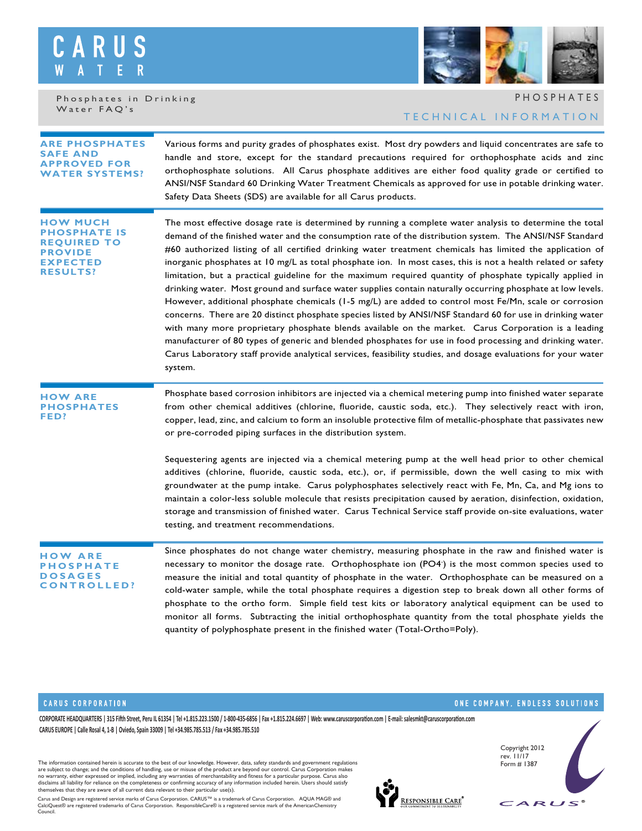## S  $\complement$ R W

Phosphates in Drinking Water FAQ's

# TECHNICAL INFORMATION PHOSPHATES

| <b>ARE PHOSPHATES</b><br><b>SAFE AND</b><br><b>APPROVED FOR</b><br><b>ATER SYSTEMS?</b>       | Various forms and purity grades of phosphates exist. Most dry powders and liquid concentrates are safe to<br>handle and store, except for the standard precautions required for orthophosphate acids and zinc<br>orthophosphate solutions. All Carus phosphate additives are either food quality grade or certified to<br>ANSI/NSF Standard 60 Drinking Water Treatment Chemicals as approved for use in potable drinking water.<br>Safety Data Sheets (SDS) are available for all Carus products.                                                                                                                                                                                                                                                                                                                                                                                                                                                                                                                                                                                                                                                                                                                                                     |
|-----------------------------------------------------------------------------------------------|--------------------------------------------------------------------------------------------------------------------------------------------------------------------------------------------------------------------------------------------------------------------------------------------------------------------------------------------------------------------------------------------------------------------------------------------------------------------------------------------------------------------------------------------------------------------------------------------------------------------------------------------------------------------------------------------------------------------------------------------------------------------------------------------------------------------------------------------------------------------------------------------------------------------------------------------------------------------------------------------------------------------------------------------------------------------------------------------------------------------------------------------------------------------------------------------------------------------------------------------------------|
| ноw мuсн<br><b>OSPHATE IS</b><br>REQUIRED TO<br><b>PROVIDE</b><br>EXPECTED<br><b>RESULTS?</b> | The most effective dosage rate is determined by running a complete water analysis to determine the total<br>demand of the finished water and the consumption rate of the distribution system. The ANSI/NSF Standard<br>#60 authorized listing of all certified drinking water treatment chemicals has limited the application of<br>inorganic phosphates at 10 mg/L as total phosphate ion. In most cases, this is not a health related or safety<br>limitation, but a practical guideline for the maximum required quantity of phosphate typically applied in<br>drinking water. Most ground and surface water supplies contain naturally occurring phosphate at low levels.<br>However, additional phosphate chemicals (1-5 mg/L) are added to control most Fe/Mn, scale or corrosion<br>concerns. There are 20 distinct phosphate species listed by ANSI/NSF Standard 60 for use in drinking water<br>with many more proprietary phosphate blends available on the market. Carus Corporation is a leading<br>manufacturer of 80 types of generic and blended phosphates for use in food processing and drinking water.<br>Carus Laboratory staff provide analytical services, feasibility studies, and dosage evaluations for your water<br>system. |
| <b>HOW ARE</b><br><b>PHOSPHATES</b><br>FED?                                                   | Phosphate based corrosion inhibitors are injected via a chemical metering pump into finished water separate<br>from other chemical additives (chlorine, fluoride, caustic soda, etc.). They selectively react with iron,<br>copper, lead, zinc, and calcium to form an insoluble protective film of metallic-phosphate that passivates new<br>or pre-corroded piping surfaces in the distribution system.                                                                                                                                                                                                                                                                                                                                                                                                                                                                                                                                                                                                                                                                                                                                                                                                                                              |
|                                                                                               | Sequestering agents are injected via a chemical metering pump at the well head prior to other chemical<br>additives (chlorine, fluoride, caustic soda, etc.), or, if permissible, down the well casing to mix with<br>groundwater at the pump intake. Carus polyphosphates selectively react with Fe, Mn, Ca, and Mg ions to<br>maintain a color-less soluble molecule that resists precipitation caused by aeration, disinfection, oxidation,<br>storage and transmission of finished water. Carus Technical Service staff provide on-site evaluations, water<br>testing, and treatment recommendations.                                                                                                                                                                                                                                                                                                                                                                                                                                                                                                                                                                                                                                              |
| <b>OW ARE</b><br>PHOSPHATE<br><b>OSAGES</b><br><b>CONTROLLED?</b>                             | Since phosphates do not change water chemistry, measuring phosphate in the raw and finished water is<br>necessary to monitor the dosage rate. Orthophosphate ion $(PO4^*)$ is the most common species used to<br>measure the initial and total quantity of phosphate in the water. Orthophosphate can be measured on a<br>cold-water sample, while the total phosphate requires a digestion step to break down all other forms of<br>phosphate to the ortho form. Simple field test kits or laboratory analytical equipment can be used to<br>monitor all forms. Subtracting the initial orthophosphate quantity from the total phosphate yields the<br>quantity of polyphosphate present in the finished water (Total-Ortho=Poly).                                                                                                                                                                                                                                                                                                                                                                                                                                                                                                                    |

### **CARUS CORPORATION**

ONE COMPANY, ENDLESS SOLUTIONS

**CORPORATE HEADQUARTERS | 315 Fi�h Street, Peru IL 61354 | Tel +1.815.223.1500 / 1-800-435-6856 | Fax +1.815.224.6697 | Web: www.caruscorpora�on.com | E-mail: salesmkt@caruscorpora�on.com CARUS EUROPE | Calle Rosal 4, 1-B | Oviedo, Spain 33009 | Tel +34.985.785.513 / Fax +34.985.785.510**

The information contained herein is accurate to the best of our knowledge. However, data, safety standards and government regulations<br>are subject to change; and the conditions of handling, use or misuse of the product are

Carus and Design are registered service marks of Carus Corporation. CARUS™ is a trademark of Carus Corporation. AQUA MAG® and<br>CalciQuest® are registered trademarks of Carus Corporation. ResponsibleCare® is a registered ser